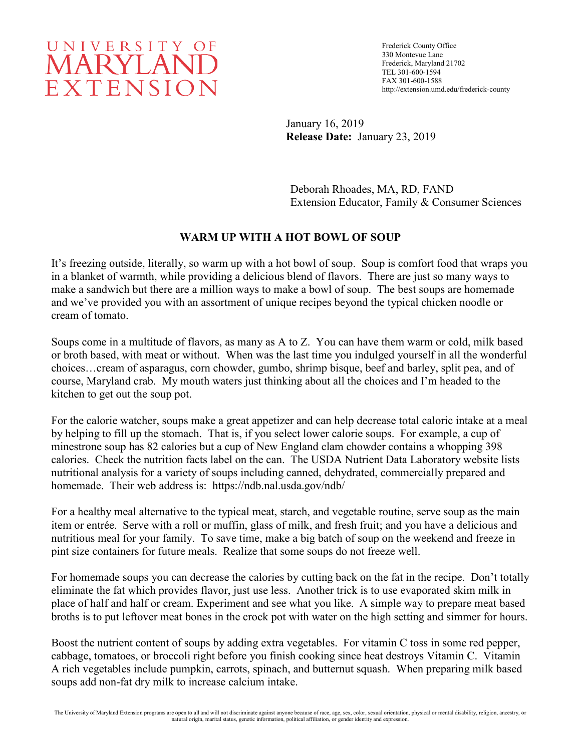# UNIVERSITY OF MARYLAND EXTENSION

Frederick County Office 330 Montevue Lane Frederick, Maryland 21702 TEL 301-600-1594 FAX 301-600-1588 http://extension.umd.edu/frederick-county

January 16, 2019 **Release Date:** January 23, 2019

Deborah Rhoades, MA, RD, FAND Extension Educator, Family & Consumer Sciences

## **WARM UP WITH A HOT BOWL OF SOUP**

It's freezing outside, literally, so warm up with a hot bowl of soup. Soup is comfort food that wraps you in a blanket of warmth, while providing a delicious blend of flavors. There are just so many ways to make a sandwich but there are a million ways to make a bowl of soup. The best soups are homemade and we've provided you with an assortment of unique recipes beyond the typical chicken noodle or cream of tomato.

Soups come in a multitude of flavors, as many as A to Z. You can have them warm or cold, milk based or broth based, with meat or without. When was the last time you indulged yourself in all the wonderful choices…cream of asparagus, corn chowder, gumbo, shrimp bisque, beef and barley, split pea, and of course, Maryland crab. My mouth waters just thinking about all the choices and I'm headed to the kitchen to get out the soup pot.

For the calorie watcher, soups make a great appetizer and can help decrease total caloric intake at a meal by helping to fill up the stomach. That is, if you select lower calorie soups. For example, a cup of minestrone soup has 82 calories but a cup of New England clam chowder contains a whopping 398 calories. Check the nutrition facts label on the can. The USDA Nutrient Data Laboratory website lists nutritional analysis for a variety of soups including canned, dehydrated, commercially prepared and homemade. Their web address is: https://ndb.nal.usda.gov/ndb/

For a healthy meal alternative to the typical meat, starch, and vegetable routine, serve soup as the main item or entrée. Serve with a roll or muffin, glass of milk, and fresh fruit; and you have a delicious and nutritious meal for your family. To save time, make a big batch of soup on the weekend and freeze in pint size containers for future meals. Realize that some soups do not freeze well.

For homemade soups you can decrease the calories by cutting back on the fat in the recipe. Don't totally eliminate the fat which provides flavor, just use less. Another trick is to use evaporated skim milk in place of half and half or cream. Experiment and see what you like. A simple way to prepare meat based broths is to put leftover meat bones in the crock pot with water on the high setting and simmer for hours.

Boost the nutrient content of soups by adding extra vegetables. For vitamin C toss in some red pepper, cabbage, tomatoes, or broccoli right before you finish cooking since heat destroys Vitamin C. Vitamin A rich vegetables include pumpkin, carrots, spinach, and butternut squash. When preparing milk based soups add non-fat dry milk to increase calcium intake.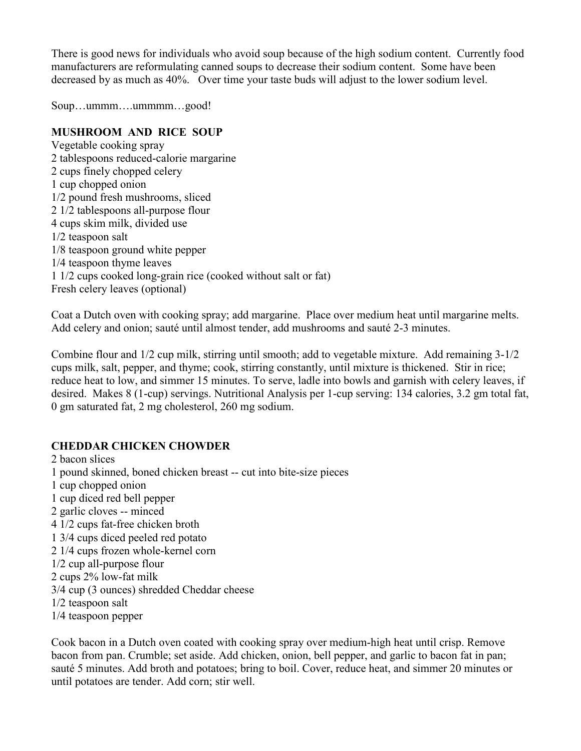There is good news for individuals who avoid soup because of the high sodium content. Currently food manufacturers are reformulating canned soups to decrease their sodium content. Some have been decreased by as much as 40%. Over time your taste buds will adjust to the lower sodium level.

Soup…ummm….ummmm…good!

#### **MUSHROOM AND RICE SOUP**

Vegetable cooking spray 2 tablespoons reduced-calorie margarine 2 cups finely chopped celery 1 cup chopped onion 1/2 pound fresh mushrooms, sliced 2 1/2 tablespoons all-purpose flour 4 cups skim milk, divided use 1/2 teaspoon salt 1/8 teaspoon ground white pepper 1/4 teaspoon thyme leaves 1 1/2 cups cooked long-grain rice (cooked without salt or fat) Fresh celery leaves (optional)

Coat a Dutch oven with cooking spray; add margarine. Place over medium heat until margarine melts. Add celery and onion; sauté until almost tender, add mushrooms and sauté 2-3 minutes.

Combine flour and 1/2 cup milk, stirring until smooth; add to vegetable mixture. Add remaining 3-1/2 cups milk, salt, pepper, and thyme; cook, stirring constantly, until mixture is thickened. Stir in rice; reduce heat to low, and simmer 15 minutes. To serve, ladle into bowls and garnish with celery leaves, if desired. Makes 8 (1-cup) servings. Nutritional Analysis per 1-cup serving: 134 calories, 3.2 gm total fat, 0 gm saturated fat, 2 mg cholesterol, 260 mg sodium.

#### **CHEDDAR CHICKEN CHOWDER**

2 bacon slices 1 pound skinned, boned chicken breast -- cut into bite-size pieces 1 cup chopped onion 1 cup diced red bell pepper 2 garlic cloves -- minced 4 1/2 cups fat-free chicken broth 1 3/4 cups diced peeled red potato 2 1/4 cups frozen whole-kernel corn 1/2 cup all-purpose flour 2 cups 2% low-fat milk 3/4 cup (3 ounces) shredded Cheddar cheese 1/2 teaspoon salt 1/4 teaspoon pepper

Cook bacon in a Dutch oven coated with cooking spray over medium-high heat until crisp. Remove bacon from pan. Crumble; set aside. Add chicken, onion, bell pepper, and garlic to bacon fat in pan; sauté 5 minutes. Add broth and potatoes; bring to boil. Cover, reduce heat, and simmer 20 minutes or until potatoes are tender. Add corn; stir well.